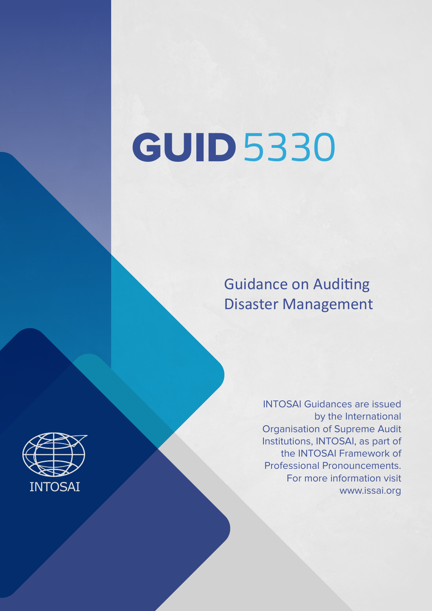# GUID 5330

# Guidance on Auditing Disaster Management

INTOSAI Guidances are issued by the International Organisation of Supreme Audit Institutions, INTOSAI, as part of the INTOSAI Framework of Professional Pronouncements. For more information visit www.issai.org

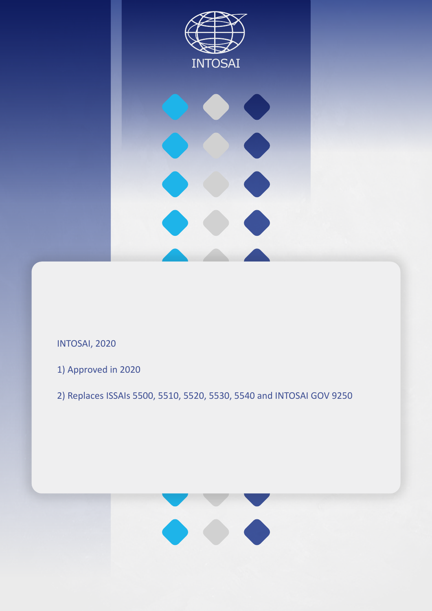

INTOSAI, 2020

- 1) Approved in 2020
- 2) Replaces ISSAIs 5500, 5510, 5520, 5530, 5540 and INTOSAI GOV 9250

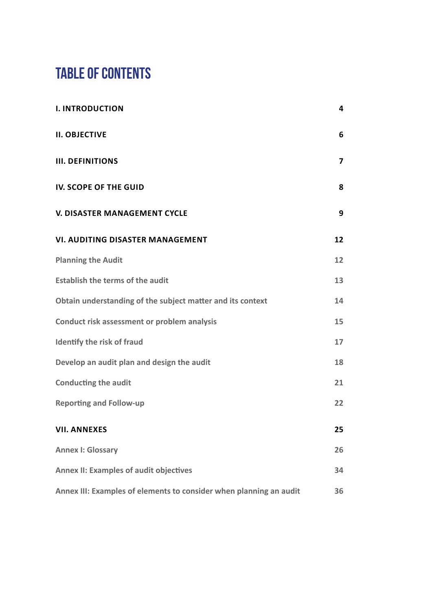# **TABLE OF CONTENTS**

| <b>I. INTRODUCTION</b>                                             | 4                       |
|--------------------------------------------------------------------|-------------------------|
| <b>II. OBJECTIVE</b>                                               | 6                       |
| <b>III. DEFINITIONS</b>                                            | $\overline{\mathbf{z}}$ |
| IV. SCOPE OF THE GUID                                              | 8                       |
| <b>V. DISASTER MANAGEMENT CYCLE</b>                                | 9                       |
| <b>VI. AUDITING DISASTER MANAGEMENT</b>                            | 12                      |
| <b>Planning the Audit</b>                                          | 12                      |
| <b>Establish the terms of the audit</b>                            | 13                      |
| Obtain understanding of the subject matter and its context         | 14                      |
| <b>Conduct risk assessment or problem analysis</b>                 | 15                      |
| Identify the risk of fraud                                         | 17                      |
| Develop an audit plan and design the audit                         | 18                      |
| <b>Conducting the audit</b>                                        | 21                      |
| <b>Reporting and Follow-up</b>                                     | 22                      |
| <b>VII. ANNEXES</b>                                                | 25                      |
| <b>Annex I: Glossary</b>                                           | 26                      |
| <b>Annex II: Examples of audit objectives</b>                      | 34                      |
| Annex III: Examples of elements to consider when planning an audit | 36                      |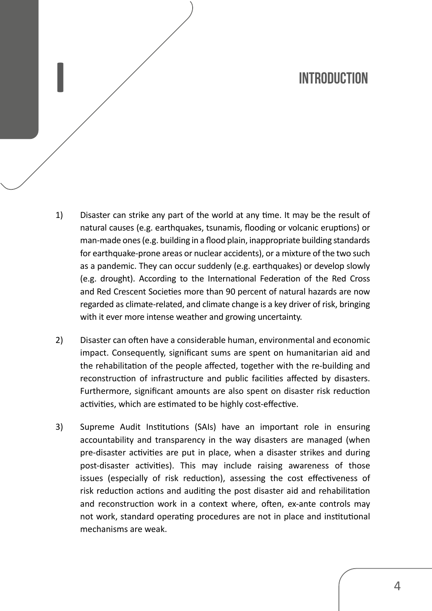# **I Introduction**

- 1) Disaster can strike any part of the world at any time. It may be the result of natural causes (e.g. earthquakes, tsunamis, flooding or volcanic eruptions) or man-made ones (e.g. building in a flood plain, inappropriate building standards for earthquake-prone areas or nuclear accidents), or a mixture of the two such as a pandemic. They can occur suddenly (e.g. earthquakes) or develop slowly (e.g. drought). According to the International Federation of the Red Cross and Red Crescent Societies more than 90 percent of natural hazards are now regarded as climate-related, and climate change is a key driver of risk, bringing with it ever more intense weather and growing uncertainty.
- 2) Disaster can often have a considerable human, environmental and economic impact. Consequently, significant sums are spent on humanitarian aid and the rehabilitation of the people affected, together with the re-building and reconstruction of infrastructure and public facilities affected by disasters. Furthermore, significant amounts are also spent on disaster risk reduction activities, which are estimated to be highly cost-effective.
- 3) Supreme Audit Institutions (SAIs) have an important role in ensuring accountability and transparency in the way disasters are managed (when pre-disaster activities are put in place, when a disaster strikes and during post-disaster activities). This may include raising awareness of those issues (especially of risk reduction), assessing the cost effectiveness of risk reduction actions and auditing the post disaster aid and rehabilitation and reconstruction work in a context where, often, ex-ante controls may not work, standard operating procedures are not in place and institutional mechanisms are weak.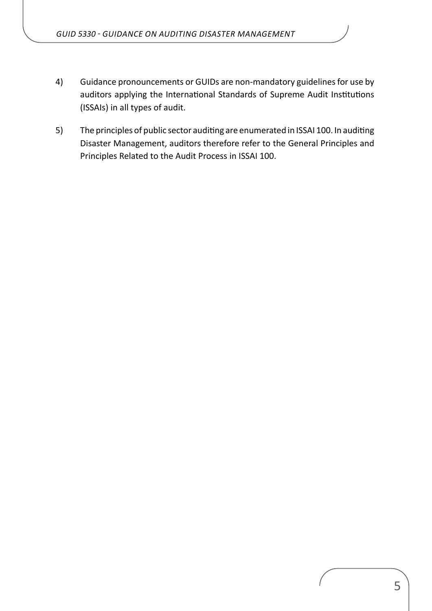- 4) Guidance pronouncements or GUIDs are non-mandatory guidelines for use by auditors applying the International Standards of Supreme Audit Institutions (ISSAIs) in all types of audit.
- 5) The principles of public sector auditing are enumerated in ISSAI 100. In auditing Disaster Management, auditors therefore refer to the General Principles and Principles Related to the Audit Process in ISSAI 100.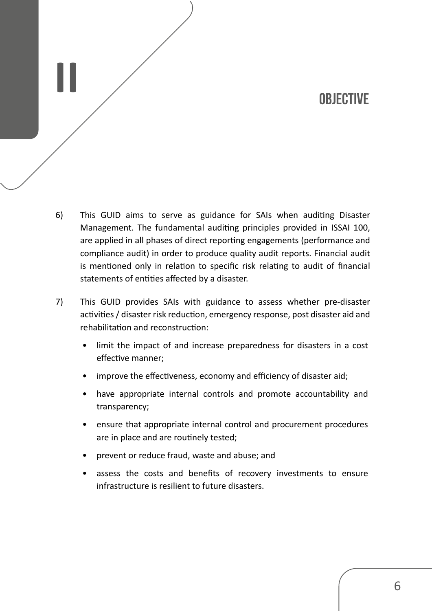## **OBJECTIVE**

6) This GUID aims to serve as guidance for SAIs when auditing Disaster Management. The fundamental auditing principles provided in ISSAI 100, are applied in all phases of direct reporting engagements (performance and compliance audit) in order to produce quality audit reports. Financial audit is mentioned only in relation to specific risk relating to audit of financial statements of entities affected by a disaster.

<span id="page-5-0"></span>**II**

- 7) This GUID provides SAIs with guidance to assess whether pre-disaster activities / disaster risk reduction, emergency response, post disaster aid and rehabilitation and reconstruction:
	- limit the impact of and increase preparedness for disasters in a cost effective manner;
	- improve the effectiveness, economy and efficiency of disaster aid;
	- have appropriate internal controls and promote accountability and transparency;
	- ensure that appropriate internal control and procurement procedures are in place and are routinely tested;
	- prevent or reduce fraud, waste and abuse; and
	- assess the costs and benefits of recovery investments to ensure infrastructure is resilient to future disasters.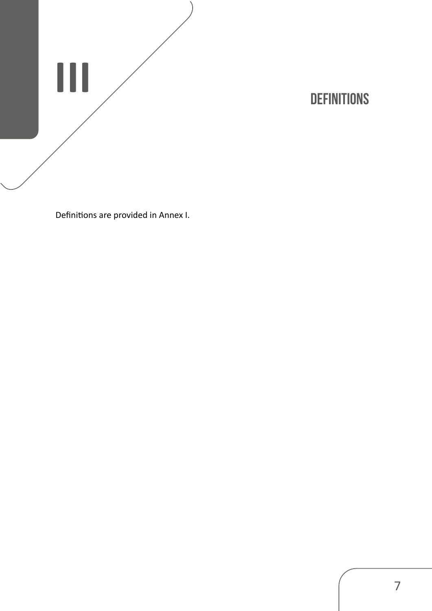<span id="page-6-0"></span>

**Definitions**

Definitions are provided in Annex I.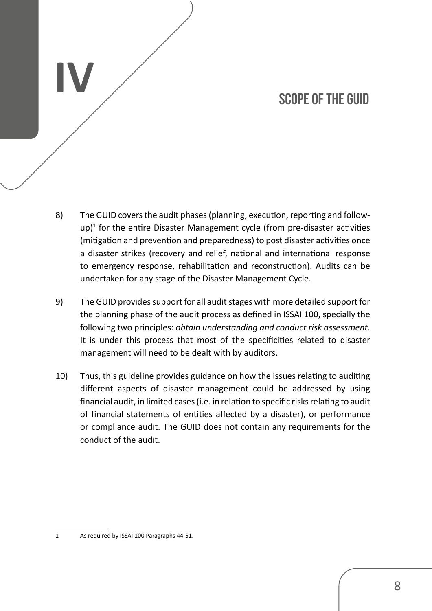## **Scope of the GUID**

- 8) The GUID covers the audit phases (planning, execution, reporting and follow $up)^1$  for the entire Disaster Management cycle (from pre-disaster activities (mitigation and prevention and preparedness) to post disaster activities once a disaster strikes (recovery and relief, national and international response to emergency response, rehabilitation and reconstruction). Audits can be undertaken for any stage of the Disaster Management Cycle.
- 9) The GUID provides support for all audit stages with more detailed support for the planning phase of the audit process as defined in ISSAI 100, specially the following two principles: *obtain understanding and conduct risk assessment.* It is under this process that most of the specificities related to disaster management will need to be dealt with by auditors.
- 10) Thus, this guideline provides guidance on how the issues relating to auditing different aspects of disaster management could be addressed by using financial audit, in limited cases (i.e. in relation to specific risks relating to audit of financial statements of entities affected by a disaster), or performance or compliance audit. The GUID does not contain any requirements for the conduct of the audit.

1 As required by ISSAI 100 Paragraphs 44-51.

<span id="page-7-0"></span>**IV**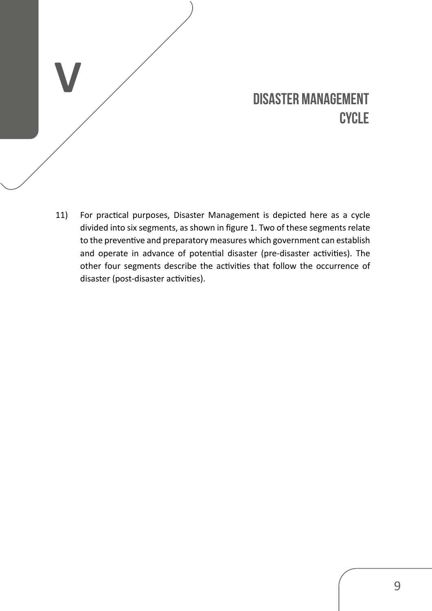## **Disaster Management cycle**

11) For practical purposes, Disaster Management is depicted here as a cycle divided into six segments, as shown in figure 1. Two of these segments relate to the preventive and preparatory measures which government can establish and operate in advance of potential disaster (pre-disaster activities). The other four segments describe the activities that follow the occurrence of disaster (post-disaster activities).

<span id="page-8-0"></span>**V**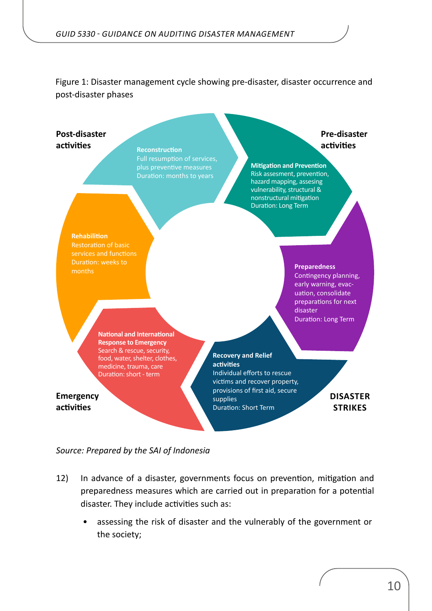Figure 1: Disaster management cycle showing pre-disaster, disaster occurrence and post-disaster phases



#### *Source: Prepared by the SAI of Indonesia*

- 12) In advance of a disaster, governments focus on prevention, mitigation and preparedness measures which are carried out in preparation for a potential disaster. They include activities such as:
	- assessing the risk of disaster and the vulnerably of the government or the society;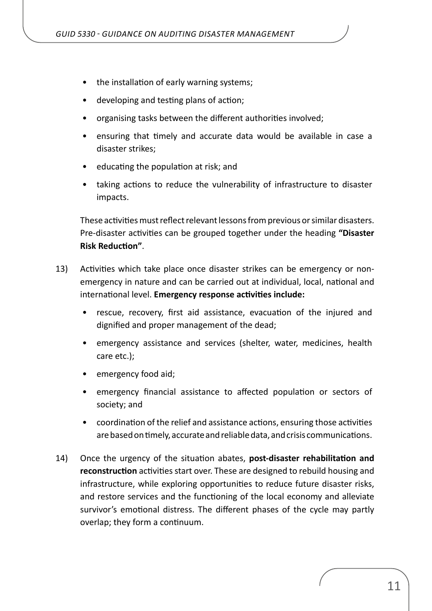- the installation of early warning systems;
- developing and testing plans of action;
- organising tasks between the different authorities involved;
- ensuring that timely and accurate data would be available in case a disaster strikes;
- educating the population at risk; and
- taking actions to reduce the vulnerability of infrastructure to disaster impacts.

These activities must reflect relevant lessons from previous or similar disasters. Pre-disaster activities can be grouped together under the heading **"Disaster Risk Reduction"**.

- 13) Activities which take place once disaster strikes can be emergency or nonemergency in nature and can be carried out at individual, local, national and international level. **Emergency response activities include:**
	- rescue, recovery, first aid assistance, evacuation of the injured and dignified and proper management of the dead;
	- emergency assistance and services (shelter, water, medicines, health care etc.);
	- emergency food aid;
	- emergency financial assistance to affected population or sectors of society; and
	- coordination of the relief and assistance actions, ensuring those activities are based on timely, accurate and reliable data, and crisis communications.
- 14) Once the urgency of the situation abates, **post-disaster rehabilitation and reconstruction** activities start over. These are designed to rebuild housing and infrastructure, while exploring opportunities to reduce future disaster risks, and restore services and the functioning of the local economy and alleviate survivor's emotional distress. The different phases of the cycle may partly overlap; they form a continuum.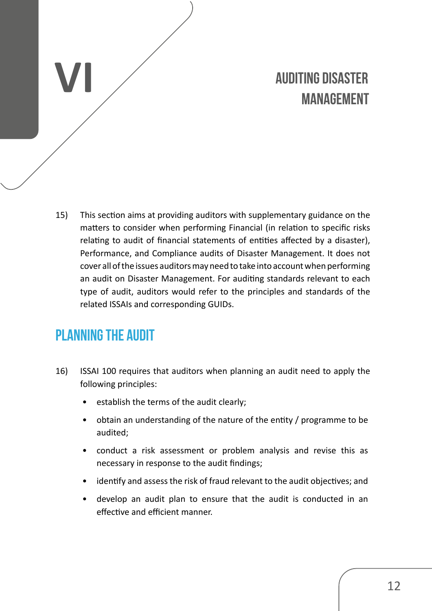# <span id="page-11-0"></span>**VI Auditing Disaster Management**

15) This section aims at providing auditors with supplementary guidance on the matters to consider when performing Financial (in relation to specific risks relating to audit of financial statements of entities affected by a disaster), Performance, and Compliance audits of Disaster Management. It does not cover all of the issues auditors may need to take into account when performing an audit on Disaster Management. For auditing standards relevant to each type of audit, auditors would refer to the principles and standards of the related ISSAIs and corresponding GUIDs.

## **Planning the Audit**

- 16) ISSAI 100 requires that auditors when planning an audit need to apply the following principles:
	- establish the terms of the audit clearly;
	- obtain an understanding of the nature of the entity / programme to be audited;
	- conduct a risk assessment or problem analysis and revise this as necessary in response to the audit findings;
	- identify and assess the risk of fraud relevant to the audit objectives; and
	- develop an audit plan to ensure that the audit is conducted in an effective and efficient manner.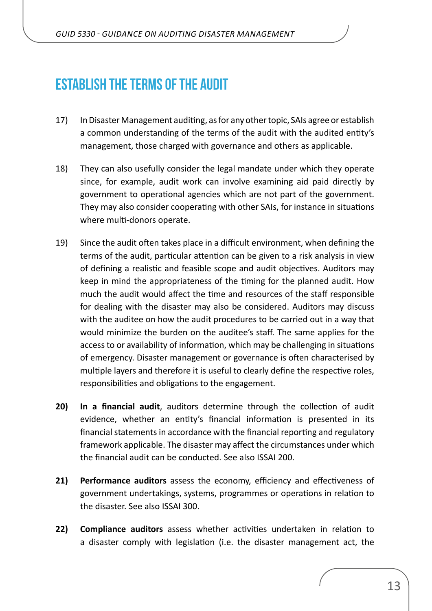## <span id="page-12-0"></span>**ESTABLISH THE TERMS OF THE AUDIT**

- 17) In Disaster Management auditing, as for any other topic, SAIs agree or establish a common understanding of the terms of the audit with the audited entity's management, those charged with governance and others as applicable.
- 18) They can also usefully consider the legal mandate under which they operate since, for example, audit work can involve examining aid paid directly by government to operational agencies which are not part of the government. They may also consider cooperating with other SAIs, for instance in situations where multi-donors operate.
- 19) Since the audit often takes place in a difficult environment, when defining the terms of the audit, particular attention can be given to a risk analysis in view of defining a realistic and feasible scope and audit objectives. Auditors may keep in mind the appropriateness of the timing for the planned audit. How much the audit would affect the time and resources of the staff responsible for dealing with the disaster may also be considered. Auditors may discuss with the auditee on how the audit procedures to be carried out in a way that would minimize the burden on the auditee's staff. The same applies for the access to or availability of information, which may be challenging in situations of emergency. Disaster management or governance is often characterised by multiple layers and therefore it is useful to clearly define the respective roles, responsibilities and obligations to the engagement.
- **20) In a financial audit**, auditors determine through the collection of audit evidence, whether an entity's financial information is presented in its financial statements in accordance with the financial reporting and regulatory framework applicable. The disaster may affect the circumstances under which the financial audit can be conducted. See also ISSAI 200.
- **21) Performance auditors** assess the economy, efficiency and effectiveness of government undertakings, systems, programmes or operations in relation to the disaster. See also ISSAI 300.
- **22) Compliance auditors** assess whether activities undertaken in relation to a disaster comply with legislation (i.e. the disaster management act, the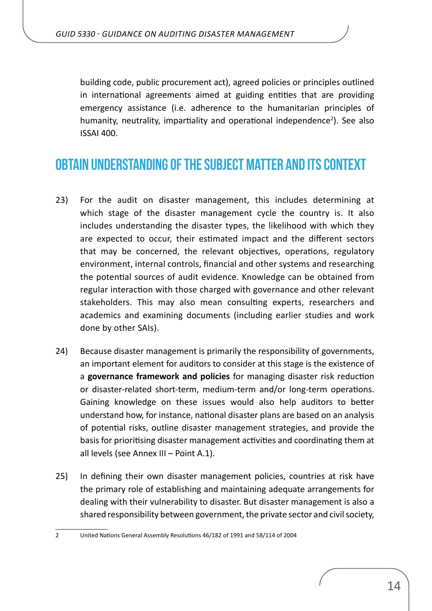<span id="page-13-0"></span>building code, public procurement act), agreed policies or principles outlined in international agreements aimed at guiding entities that are providing emergency assistance (i.e. adherence to the humanitarian principles of humanity, neutrality, impartiality and operational independence<sup>2</sup>). See also ISSAI 400.

## **Obtain understanding of the subject matter and its context**

- 23) For the audit on disaster management, this includes determining at which stage of the disaster management cycle the country is. It also includes understanding the disaster types, the likelihood with which they are expected to occur, their estimated impact and the different sectors that may be concerned, the relevant objectives, operations, regulatory environment, internal controls, financial and other systems and researching the potential sources of audit evidence. Knowledge can be obtained from regular interaction with those charged with governance and other relevant stakeholders. This may also mean consulting experts, researchers and academics and examining documents (including earlier studies and work done by other SAIs).
- 24) Because disaster management is primarily the responsibility of governments, an important element for auditors to consider at this stage is the existence of a **governance framework and policies** for managing disaster risk reduction or disaster-related short-term, medium-term and/or long-term operations. Gaining knowledge on these issues would also help auditors to better understand how, for instance, national disaster plans are based on an analysis of potential risks, outline disaster management strategies, and provide the basis for prioritising disaster management activities and coordinating them at all levels (see Annex III – Point A.1).
- 25) In defining their own disaster management policies, countries at risk have the primary role of establishing and maintaining adequate arrangements for dealing with their vulnerability to disaster. But disaster management is also a shared responsibility between government, the private sector and civil society,

<sup>2</sup> United Nations General Assembly Resolutions 46/182 of 1991 and 58/114 of 2004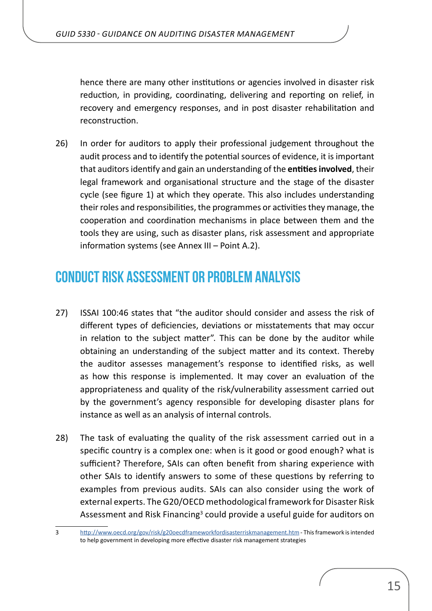<span id="page-14-0"></span>hence there are many other institutions or agencies involved in disaster risk reduction, in providing, coordinating, delivering and reporting on relief, in recovery and emergency responses, and in post disaster rehabilitation and reconstruction.

26) In order for auditors to apply their professional judgement throughout the audit process and to identify the potential sources of evidence, it is important that auditors identify and gain an understanding of the **entities involved**, their legal framework and organisational structure and the stage of the disaster cycle (see figure 1) at which they operate. This also includes understanding their roles and responsibilities, the programmes or activities they manage, the cooperation and coordination mechanisms in place between them and the tools they are using, such as disaster plans, risk assessment and appropriate information systems (see Annex III – Point A.2).

## **Conduct risk assessment or problem analysis**

- 27) ISSAI 100:46 states that "the auditor should consider and assess the risk of different types of deficiencies, deviations or misstatements that may occur in relation to the subject matter". This can be done by the auditor while obtaining an understanding of the subject matter and its context. Thereby the auditor assesses management's response to identified risks, as well as how this response is implemented. It may cover an evaluation of the appropriateness and quality of the risk/vulnerability assessment carried out by the government's agency responsible for developing disaster plans for instance as well as an analysis of internal controls.
- 28) The task of evaluating the quality of the risk assessment carried out in a specific country is a complex one: when is it good or good enough? what is sufficient? Therefore, SAIs can often benefit from sharing experience with other SAIs to identify answers to some of these questions by referring to examples from previous audits. SAIs can also consider using the work of external experts. The G20/OECD methodological framework for Disaster Risk Assessment and Risk Financing<sup>3</sup> could provide a useful guide for auditors on
- 3 <http://www.oecd.org/gov/risk/g20oecdframeworkfordisasterriskmanagement.htm> This framework is intended to help government in developing more effective disaster risk management strategies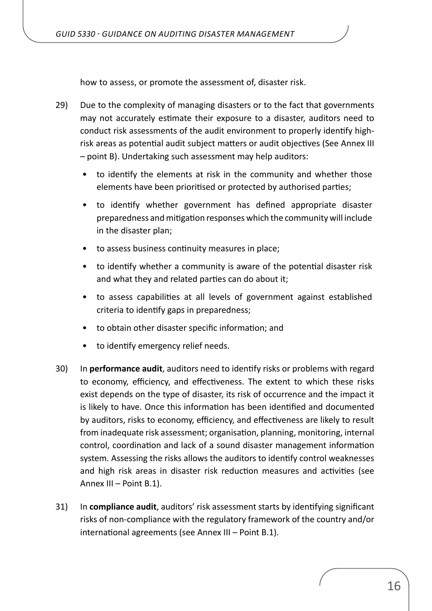how to assess, or promote the assessment of, disaster risk.

- 29) Due to the complexity of managing disasters or to the fact that governments may not accurately estimate their exposure to a disaster, auditors need to conduct risk assessments of the audit environment to properly identify highrisk areas as potential audit subject matters or audit objectives (See Annex III – point B). Undertaking such assessment may help auditors:
	- to identify the elements at risk in the community and whether those elements have been prioritised or protected by authorised parties;
	- to identify whether government has defined appropriate disaster preparedness and mitigation responses which the community will include in the disaster plan;
	- to assess business continuity measures in place;
	- to identify whether a community is aware of the potential disaster risk and what they and related parties can do about it;
	- to assess capabilities at all levels of government against established criteria to identify gaps in preparedness;
	- to obtain other disaster specific information; and
	- to identify emergency relief needs.
- 30) In **performance audit**, auditors need to identify risks or problems with regard to economy, efficiency, and effectiveness. The extent to which these risks exist depends on the type of disaster, its risk of occurrence and the impact it is likely to have. Once this information has been identified and documented by auditors, risks to economy, efficiency, and effectiveness are likely to result from inadequate risk assessment; organisation, planning, monitoring, internal control, coordination and lack of a sound disaster management information system. Assessing the risks allows the auditors to identify control weaknesses and high risk areas in disaster risk reduction measures and activities (see Annex III – Point B.1).
- 31) In **compliance audit**, auditors' risk assessment starts by identifying significant risks of non-compliance with the regulatory framework of the country and/or international agreements (see Annex III – Point B.1).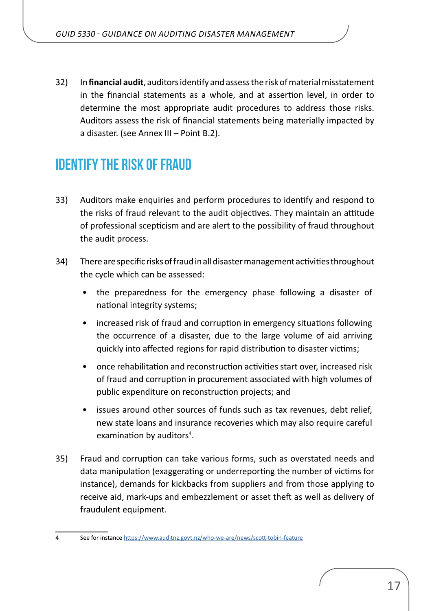<span id="page-16-0"></span>32) In **financial audit**, auditors identify and assess the risk of material misstatement in the financial statements as a whole, and at assertion level, in order to determine the most appropriate audit procedures to address those risks. Auditors assess the risk of financial statements being materially impacted by a disaster. (see Annex III – Point B.2).

## **Identify the risk of fraud**

- 33) Auditors make enquiries and perform procedures to identify and respond to the risks of fraud relevant to the audit objectives. They maintain an attitude of professional scepticism and are alert to the possibility of fraud throughout the audit process.
- 34) There are specific risks of fraud in all disaster management activities throughout the cycle which can be assessed:
	- the preparedness for the emergency phase following a disaster of national integrity systems;
	- increased risk of fraud and corruption in emergency situations following the occurrence of a disaster, due to the large volume of aid arriving quickly into affected regions for rapid distribution to disaster victims;
	- once rehabilitation and reconstruction activities start over, increased risk of fraud and corruption in procurement associated with high volumes of public expenditure on reconstruction projects; and
	- issues around other sources of funds such as tax revenues, debt relief, new state loans and insurance recoveries which may also require careful examination by auditors<sup>4</sup>.
- 35) Fraud and corruption can take various forms, such as overstated needs and data manipulation (exaggerating or underreporting the number of victims for instance), demands for kickbacks from suppliers and from those applying to receive aid, mark-ups and embezzlement or asset theft as well as delivery of fraudulent equipment.

See for instance <https://www.auditnz.govt.nz/who-we-are/news/scott-tobin-feature>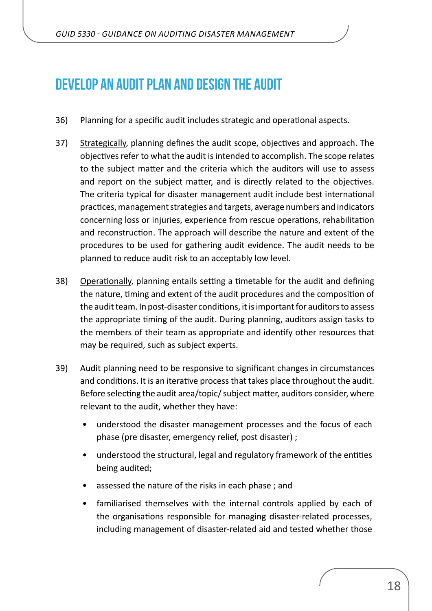## <span id="page-17-0"></span>**Develop an audit plan and design the audit**

- 36) Planning for a specific audit includes strategic and operational aspects.
- 37) Strategically, planning defines the audit scope, objectives and approach. The objectives refer to what the audit is intended to accomplish. The scope relates to the subject matter and the criteria which the auditors will use to assess and report on the subject matter, and is directly related to the objectives. The criteria typical for disaster management audit include best international practices, management strategies and targets, average numbers and indicators concerning loss or injuries, experience from rescue operations, rehabilitation and reconstruction. The approach will describe the nature and extent of the procedures to be used for gathering audit evidence. The audit needs to be planned to reduce audit risk to an acceptably low level.
- 38) Operationally, planning entails setting a timetable for the audit and defining the nature, timing and extent of the audit procedures and the composition of the audit team. In post-disaster conditions, it is important for auditors to assess the appropriate timing of the audit. During planning, auditors assign tasks to the members of their team as appropriate and identify other resources that may be required, such as subject experts.
- 39) Audit planning need to be responsive to significant changes in circumstances and conditions. It is an iterative process that takes place throughout the audit. Before selecting the audit area/topic/ subject matter, auditors consider, where relevant to the audit, whether they have:
	- understood the disaster management processes and the focus of each phase (pre disaster, emergency relief, post disaster) ;
	- understood the structural, legal and regulatory framework of the entities being audited;
	- assessed the nature of the risks in each phase; and
	- familiarised themselves with the internal controls applied by each of the organisations responsible for managing disaster-related processes, including management of disaster-related aid and tested whether those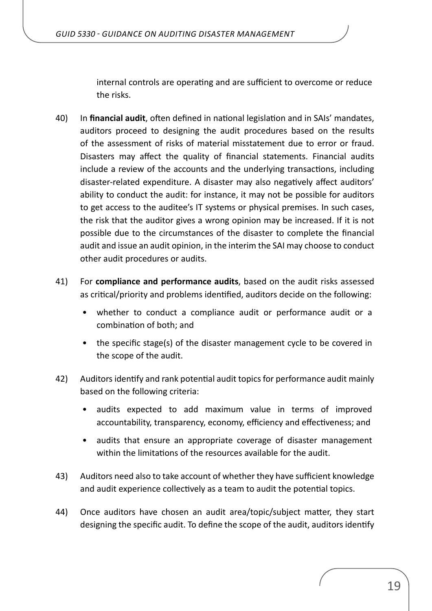internal controls are operating and are sufficient to overcome or reduce the risks.

- 40) In **financial audit**, often defined in national legislation and in SAIs' mandates, auditors proceed to designing the audit procedures based on the results of the assessment of risks of material misstatement due to error or fraud. Disasters may affect the quality of financial statements. Financial audits include a review of the accounts and the underlying transactions, including disaster-related expenditure. A disaster may also negatively affect auditors' ability to conduct the audit: for instance, it may not be possible for auditors to get access to the auditee's IT systems or physical premises. In such cases, the risk that the auditor gives a wrong opinion may be increased. If it is not possible due to the circumstances of the disaster to complete the financial audit and issue an audit opinion, in the interim the SAI may choose to conduct other audit procedures or audits.
- 41) For **compliance and performance audits**, based on the audit risks assessed as critical/priority and problems identified, auditors decide on the following:
	- whether to conduct a compliance audit or performance audit or a combination of both; and
	- the specific stage(s) of the disaster management cycle to be covered in the scope of the audit.
- 42) Auditors identify and rank potential audit topics for performance audit mainly based on the following criteria:
	- audits expected to add maximum value in terms of improved accountability, transparency, economy, efficiency and effectiveness; and
	- audits that ensure an appropriate coverage of disaster management within the limitations of the resources available for the audit.
- 43) Auditors need also to take account of whether they have sufficient knowledge and audit experience collectively as a team to audit the potential topics.
- 44) Once auditors have chosen an audit area/topic/subject matter, they start designing the specific audit. To define the scope of the audit, auditors identify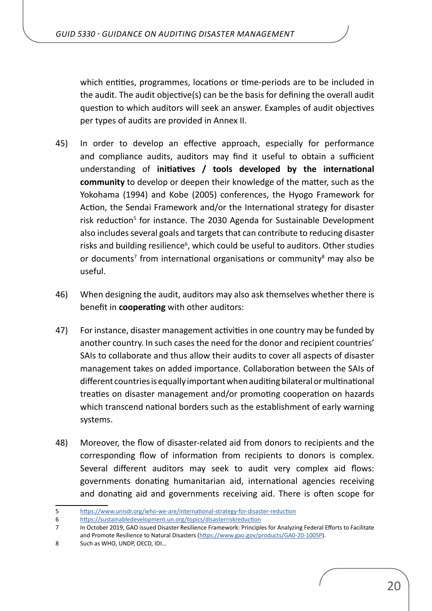which entities, programmes, locations or time-periods are to be included in the audit. The audit objective(s) can be the basis for defining the overall audit question to which auditors will seek an answer. Examples of audit objectives per types of audits are provided in Annex II.

- 45) In order to develop an effective approach, especially for performance and compliance audits, auditors may find it useful to obtain a sufficient understanding of **initiatives / tools developed by the international community** to develop or deepen their knowledge of the matter, such as the Yokohama (1994) and Kobe (2005) conferences, the Hyogo Framework for Action, the Sendai Framework and/or the International strategy for disaster risk reduction<sup>5</sup> for instance. The 2030 Agenda for Sustainable Development also includes several goals and targets that can contribute to reducing disaster risks and building resilience<sup>6</sup>, which could be useful to auditors. Other studies or documents<sup>7</sup> from international organisations or community<sup>8</sup> may also be useful.
- 46) When designing the audit, auditors may also ask themselves whether there is benefit in **cooperating** with other auditors:
- 47) For instance, disaster management activities in one country may be funded by another country. In such cases the need for the donor and recipient countries' SAIs to collaborate and thus allow their audits to cover all aspects of disaster management takes on added importance. Collaboration between the SAIs of different countries is equally important when auditing bilateral or multinational treaties on disaster management and/or promoting cooperation on hazards which transcend national borders such as the establishment of early warning systems.
- 48) Moreover, the flow of disaster-related aid from donors to recipients and the corresponding flow of information from recipients to donors is complex. Several different auditors may seek to audit very complex aid flows: governments donating humanitarian aid, international agencies receiving and donating aid and governments receiving aid. There is often scope for

<sup>5</sup> <https://www.unisdr.org/who-we-are/international-strategy-for-disaster-reduction>

<sup>6</sup> <https://sustainabledevelopment.un.org/topics/disasterriskreduction>

<sup>7</sup> In October 2019, GAO issued Disaster Resilience Framework: Principles for Analyzing Federal Efforts to Facilitate and Promote Resilience to Natural Disasters (<https://www.gao.gov/products/GA0-20-100SP>).

<sup>8</sup> Such as WHO, UNDP, OECD, IDI...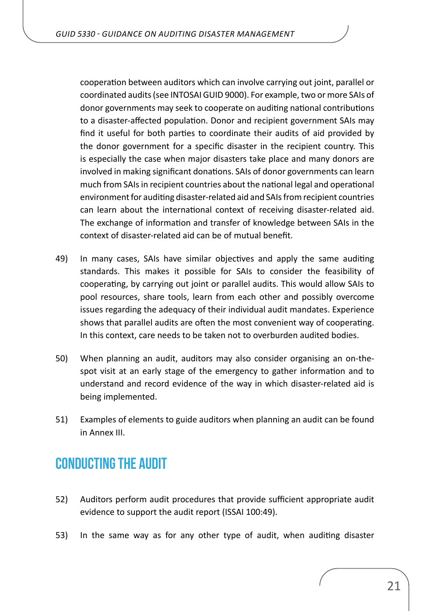<span id="page-20-0"></span>cooperation between auditors which can involve carrying out joint, parallel or coordinated audits (see INTOSAI GUID 9000). For example, two or more SAIs of donor governments may seek to cooperate on auditing national contributions to a disaster-affected population. Donor and recipient government SAIs may find it useful for both parties to coordinate their audits of aid provided by the donor government for a specific disaster in the recipient country. This is especially the case when major disasters take place and many donors are involved in making significant donations. SAIs of donor governments can learn much from SAIs in recipient countries about the national legal and operational environment for auditing disaster-related aid and SAIs from recipient countries can learn about the international context of receiving disaster-related aid. The exchange of information and transfer of knowledge between SAIs in the context of disaster-related aid can be of mutual benefit.

- 49) In many cases, SAIs have similar objectives and apply the same auditing standards. This makes it possible for SAIs to consider the feasibility of cooperating, by carrying out joint or parallel audits. This would allow SAIs to pool resources, share tools, learn from each other and possibly overcome issues regarding the adequacy of their individual audit mandates. Experience shows that parallel audits are often the most convenient way of cooperating. In this context, care needs to be taken not to overburden audited bodies.
- 50) When planning an audit, auditors may also consider organising an on-thespot visit at an early stage of the emergency to gather information and to understand and record evidence of the way in which disaster-related aid is being implemented.
- 51) Examples of elements to guide auditors when planning an audit can be found in Annex III.

## **Conducting the audit**

- 52) Auditors perform audit procedures that provide sufficient appropriate audit evidence to support the audit report (ISSAI 100:49).
- 53) In the same way as for any other type of audit, when auditing disaster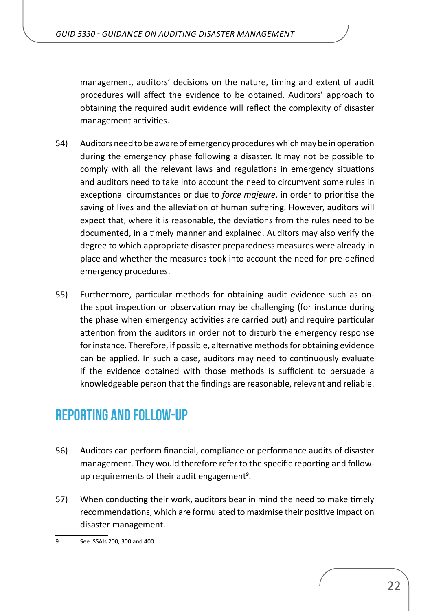<span id="page-21-0"></span>management, auditors' decisions on the nature, timing and extent of audit procedures will affect the evidence to be obtained. Auditors' approach to obtaining the required audit evidence will reflect the complexity of disaster management activities.

- 54) Auditors need to be aware of emergency procedures which may be in operation during the emergency phase following a disaster. It may not be possible to comply with all the relevant laws and regulations in emergency situations and auditors need to take into account the need to circumvent some rules in exceptional circumstances or due to *force majeure*, in order to prioritise the saving of lives and the alleviation of human suffering. However, auditors will expect that, where it is reasonable, the deviations from the rules need to be documented, in a timely manner and explained. Auditors may also verify the degree to which appropriate disaster preparedness measures were already in place and whether the measures took into account the need for pre-defined emergency procedures.
- 55) Furthermore, particular methods for obtaining audit evidence such as onthe spot inspection or observation may be challenging (for instance during the phase when emergency activities are carried out) and require particular attention from the auditors in order not to disturb the emergency response for instance. Therefore, if possible, alternative methods for obtaining evidence can be applied. In such a case, auditors may need to continuously evaluate if the evidence obtained with those methods is sufficient to persuade a knowledgeable person that the findings are reasonable, relevant and reliable.

## **Reporting and Follow-up**

- 56) Auditors can perform financial, compliance or performance audits of disaster management. They would therefore refer to the specific reporting and followup requirements of their audit engagement<sup>9</sup>.
- 57) When conducting their work, auditors bear in mind the need to make timely recommendations, which are formulated to maximise their positive impact on disaster management.

<sup>9</sup> See ISSAIs 200, 300 and 400.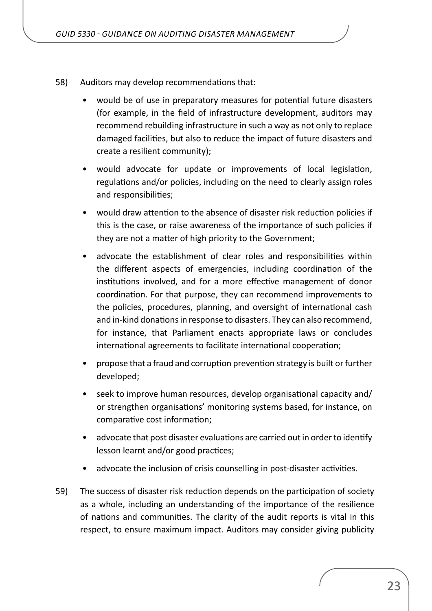- 58) Auditors may develop recommendations that:
	- would be of use in preparatory measures for potential future disasters (for example, in the field of infrastructure development, auditors may recommend rebuilding infrastructure in such a way as not only to replace damaged facilities, but also to reduce the impact of future disasters and create a resilient community);
	- would advocate for update or improvements of local legislation, regulations and/or policies, including on the need to clearly assign roles and responsibilities;
	- would draw attention to the absence of disaster risk reduction policies if this is the case, or raise awareness of the importance of such policies if they are not a matter of high priority to the Government;
	- advocate the establishment of clear roles and responsibilities within the different aspects of emergencies, including coordination of the institutions involved, and for a more effective management of donor coordination. For that purpose, they can recommend improvements to the policies, procedures, planning, and oversight of international cash and in-kind donations in response to disasters. They can also recommend, for instance, that Parliament enacts appropriate laws or concludes international agreements to facilitate international cooperation;
	- propose that a fraud and corruption prevention strategy is built or further developed;
	- seek to improve human resources, develop organisational capacity and/ or strengthen organisations' monitoring systems based, for instance, on comparative cost information;
	- advocate that post disaster evaluations are carried out in order to identify lesson learnt and/or good practices;
	- advocate the inclusion of crisis counselling in post-disaster activities.
- 59) The success of disaster risk reduction depends on the participation of society as a whole, including an understanding of the importance of the resilience of nations and communities. The clarity of the audit reports is vital in this respect, to ensure maximum impact. Auditors may consider giving publicity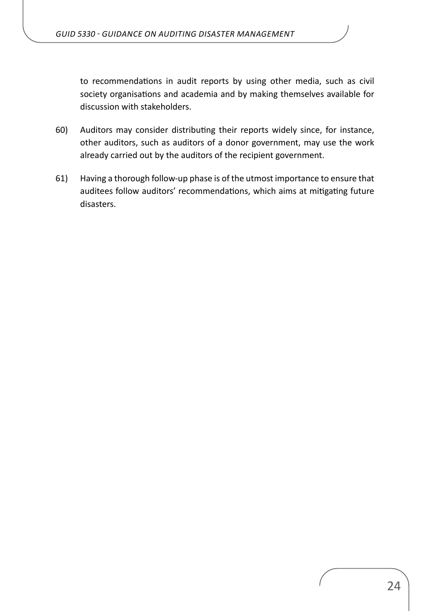to recommendations in audit reports by using other media, such as civil society organisations and academia and by making themselves available for discussion with stakeholders.

- 60) Auditors may consider distributing their reports widely since, for instance, other auditors, such as auditors of a donor government, may use the work already carried out by the auditors of the recipient government.
- 61) Having a thorough follow-up phase is of the utmost importance to ensure that auditees follow auditors' recommendations, which aims at mitigating future disasters.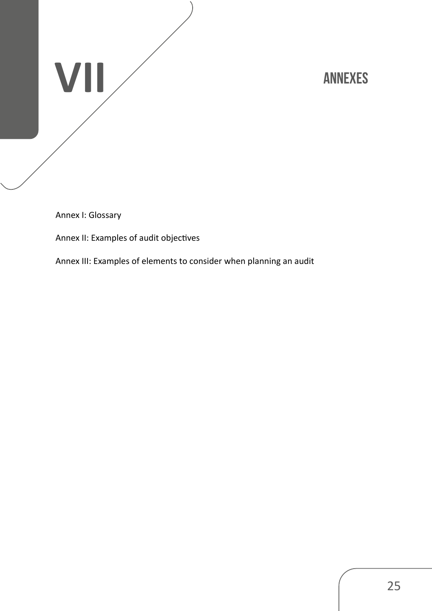# <span id="page-24-0"></span>**VII Annexes**

Annex I: Glossary

Annex II: Examples of audit objectives

Annex III: Examples of elements to consider when planning an audit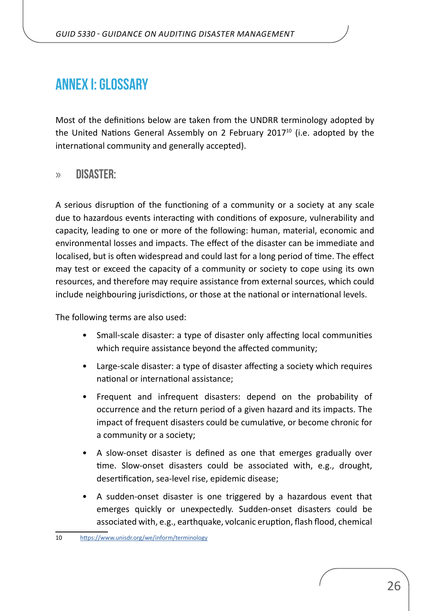# <span id="page-25-0"></span>**Annex I: Glossary**

Most of the definitions below are taken from the UNDRR terminology adopted by the United Nations General Assembly on 2 February 2017<sup>10</sup> (i.e. adopted by the international community and generally accepted).

## » **DISASTER:**

A serious disruption of the functioning of a community or a society at any scale due to hazardous events interacting with conditions of exposure, vulnerability and capacity, leading to one or more of the following: human, material, economic and environmental losses and impacts. The effect of the disaster can be immediate and localised, but is often widespread and could last for a long period of time. The effect may test or exceed the capacity of a community or society to cope using its own resources, and therefore may require assistance from external sources, which could include neighbouring jurisdictions, or those at the national or international levels.

The following terms are also used:

- Small-scale disaster: a type of disaster only affecting local communities which require assistance beyond the affected community;
- Large-scale disaster: a type of disaster affecting a society which requires national or international assistance;
- Frequent and infrequent disasters: depend on the probability of occurrence and the return period of a given hazard and its impacts. The impact of frequent disasters could be cumulative, or become chronic for a community or a society;
- A slow-onset disaster is defined as one that emerges gradually over time. Slow-onset disasters could be associated with, e.g., drought, desertification, sea-level rise, epidemic disease;
- A sudden-onset disaster is one triggered by a hazardous event that emerges quickly or unexpectedly. Sudden-onset disasters could be associated with, e.g., earthquake, volcanic eruption, flash flood, chemical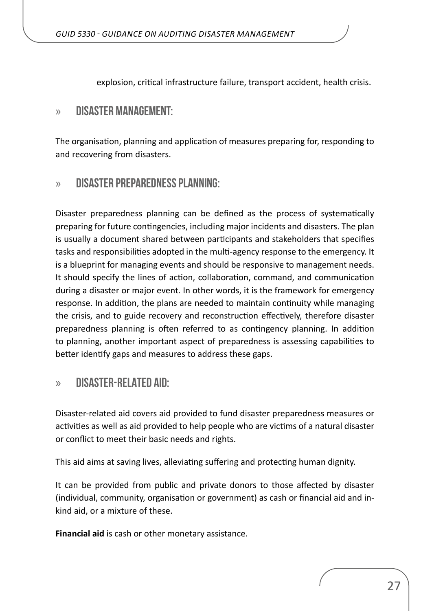explosion, critical infrastructure failure, transport accident, health crisis.

### » **DISASTER MANAGEMENT:**

The organisation, planning and application of measures preparing for, responding to and recovering from disasters.

### » **DISASTER PREPAREDNESS PLANNING:**

Disaster preparedness planning can be defined as the process of systematically preparing for future contingencies, including major incidents and disasters. The plan is usually a document shared between participants and stakeholders that specifies tasks and responsibilities adopted in the multi-agency response to the emergency. It is a blueprint for managing events and should be responsive to management needs. It should specify the lines of action, collaboration, command, and communication during a disaster or major event. In other words, it is the framework for emergency response. In addition, the plans are needed to maintain continuity while managing the crisis, and to guide recovery and reconstruction effectively, therefore disaster preparedness planning is often referred to as contingency planning. In addition to planning, another important aspect of preparedness is assessing capabilities to better identify gaps and measures to address these gaps.

### » **DISASTER-RELATED AID:**

Disaster-related aid covers aid provided to fund disaster preparedness measures or activities as well as aid provided to help people who are victims of a natural disaster or conflict to meet their basic needs and rights.

This aid aims at saving lives, alleviating suffering and protecting human dignity.

It can be provided from public and private donors to those affected by disaster (individual, community, organisation or government) as cash or financial aid and inkind aid, or a mixture of these.

**Financial aid** is cash or other monetary assistance.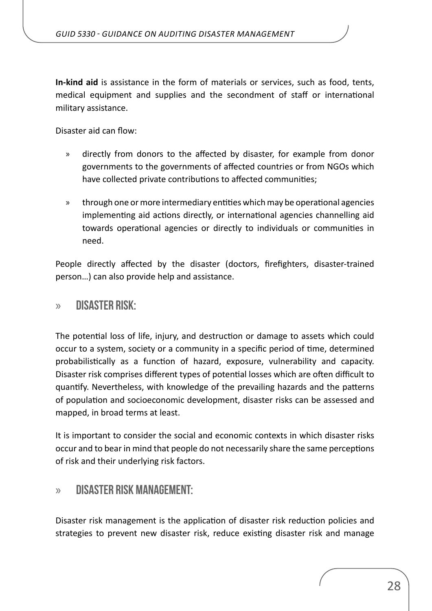**In-kind aid** is assistance in the form of materials or services, such as food, tents, medical equipment and supplies and the secondment of staff or international military assistance.

Disaster aid can flow:

- » directly from donors to the affected by disaster, for example from donor governments to the governments of affected countries or from NGOs which have collected private contributions to affected communities;
- » through one or more intermediary entities which may be operational agencies implementing aid actions directly, or international agencies channelling aid towards operational agencies or directly to individuals or communities in need.

People directly affected by the disaster (doctors, firefighters, disaster-trained person…) can also provide help and assistance.

#### » **DISASTER RISK:**

The potential loss of life, injury, and destruction or damage to assets which could occur to a system, society or a community in a specific period of time, determined probabilistically as a function of hazard, exposure, vulnerability and capacity. Disaster risk comprises different types of potential losses which are often difficult to quantify. Nevertheless, with knowledge of the prevailing hazards and the patterns of population and socioeconomic development, disaster risks can be assessed and mapped, in broad terms at least.

It is important to consider the social and economic contexts in which disaster risks occur and to bear in mind that people do not necessarily share the same perceptions of risk and their underlying risk factors.

## » **DISASTER RISK MANAGEMENT:**

Disaster risk management is the application of disaster risk reduction policies and strategies to prevent new disaster risk, reduce existing disaster risk and manage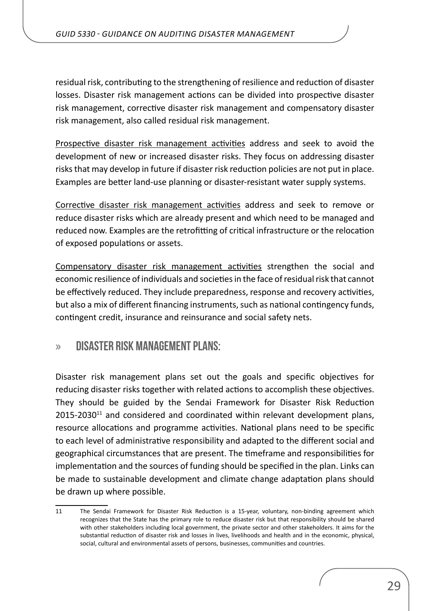residual risk, contributing to the strengthening of resilience and reduction of disaster losses. Disaster risk management actions can be divided into prospective disaster risk management, corrective disaster risk management and compensatory disaster risk management, also called residual risk management.

Prospective disaster risk management activities address and seek to avoid the development of new or increased disaster risks. They focus on addressing disaster risks that may develop in future if disaster risk reduction policies are not put in place. Examples are better land-use planning or disaster-resistant water supply systems.

Corrective disaster risk management activities address and seek to remove or reduce disaster risks which are already present and which need to be managed and reduced now. Examples are the retrofitting of critical infrastructure or the relocation of exposed populations or assets.

Compensatory disaster risk management activities strengthen the social and economic resilience of individuals and societies in the face of residual risk that cannot be effectively reduced. They include preparedness, response and recovery activities, but also a mix of different financing instruments, such as national contingency funds, contingent credit, insurance and reinsurance and social safety nets.

## » **DISASTER RISK MANAGEMENT PLANS:**

Disaster risk management plans set out the goals and specific objectives for reducing disaster risks together with related actions to accomplish these objectives. They should be guided by the Sendai Framework for Disaster Risk Reduction  $2015-2030<sup>11</sup>$  and considered and coordinated within relevant development plans, resource allocations and programme activities. National plans need to be specific to each level of administrative responsibility and adapted to the different social and geographical circumstances that are present. The timeframe and responsibilities for implementation and the sources of funding should be specified in the plan. Links can be made to sustainable development and climate change adaptation plans should be drawn up where possible.

<sup>11</sup> The Sendai Framework for Disaster Risk Reduction is a 15-year, voluntary, non-binding agreement which recognizes that the State has the primary role to reduce disaster risk but that responsibility should be shared with other stakeholders including local government, the private sector and other stakeholders. It aims for the substantial reduction of disaster risk and losses in lives, livelihoods and health and in the economic, physical, social, cultural and environmental assets of persons, businesses, communities and countries.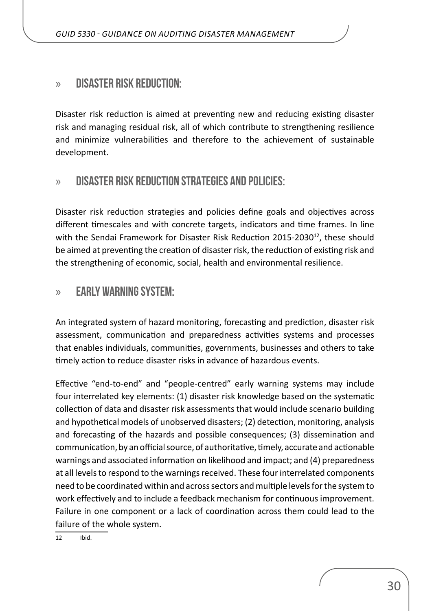#### » **DISASTER RISK REDUCTION:**

Disaster risk reduction is aimed at preventing new and reducing existing disaster risk and managing residual risk, all of which contribute to strengthening resilience and minimize vulnerabilities and therefore to the achievement of sustainable development.

### » **DISASTER RISK REDUCTION STRATEGIES AND POLICIES:**

Disaster risk reduction strategies and policies define goals and objectives across different timescales and with concrete targets, indicators and time frames. In line with the Sendai Framework for Disaster Risk Reduction 2015-2030<sup>12</sup>, these should be aimed at preventing the creation of disaster risk, the reduction of existing risk and the strengthening of economic, social, health and environmental resilience.

### » **EARLY WARNING SYSTEM:**

An integrated system of hazard monitoring, forecasting and prediction, disaster risk assessment, communication and preparedness activities systems and processes that enables individuals, communities, governments, businesses and others to take timely action to reduce disaster risks in advance of hazardous events.

Effective "end-to-end" and "people-centred" early warning systems may include four interrelated key elements: (1) disaster risk knowledge based on the systematic collection of data and disaster risk assessments that would include scenario building and hypothetical models of unobserved disasters; (2) detection, monitoring, analysis and forecasting of the hazards and possible consequences; (3) dissemination and communication, by an official source, of authoritative, timely, accurate and actionable warnings and associated information on likelihood and impact; and (4) preparedness at all levels to respond to the warnings received. These four interrelated components need to be coordinated within and across sectors and multiple levels for the system to work effectively and to include a feedback mechanism for continuous improvement. Failure in one component or a lack of coordination across them could lead to the failure of the whole system.

12 Ibid.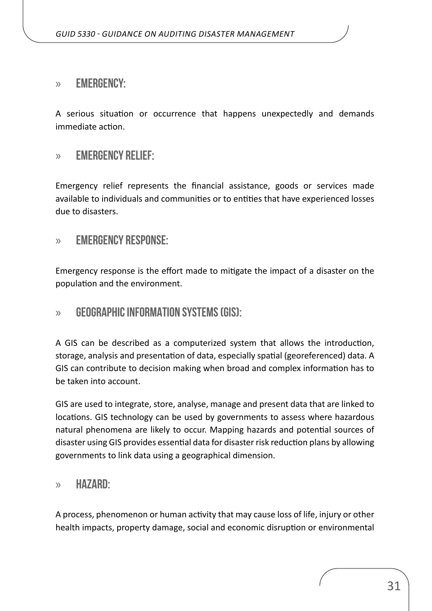#### » **EMERGENCY:**

A serious situation or occurrence that happens unexpectedly and demands immediate action.

#### » **EMERGENCY RELIEF:**

Emergency relief represents the financial assistance, goods or services made available to individuals and communities or to entities that have experienced losses due to disasters.

#### » **EMERGENCY RESPONSE:**

Emergency response is the effort made to mitigate the impact of a disaster on the population and the environment.

### » **GEOGRAPHIC INFORMATION SYSTEMS (GIS):**

A GIS can be described as a computerized system that allows the introduction, storage, analysis and presentation of data, especially spatial (georeferenced) data. A GIS can contribute to decision making when broad and complex information has to be taken into account.

GIS are used to integrate, store, analyse, manage and present data that are linked to locations. GIS technology can be used by governments to assess where hazardous natural phenomena are likely to occur. Mapping hazards and potential sources of disaster using GIS provides essential data for disaster risk reduction plans by allowing governments to link data using a geographical dimension.

#### » **HAZARD:**

A process, phenomenon or human activity that may cause loss of life, injury or other health impacts, property damage, social and economic disruption or environmental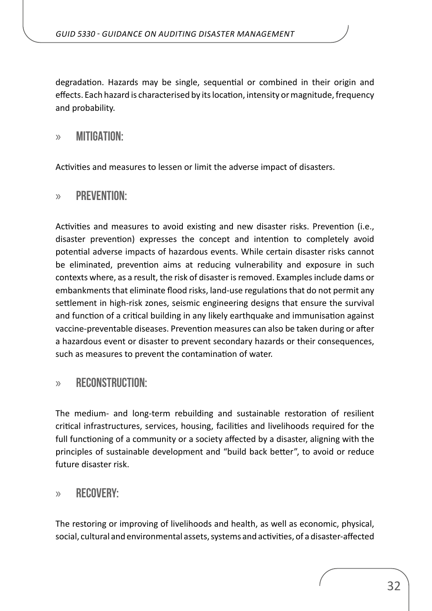degradation. Hazards may be single, sequential or combined in their origin and effects. Each hazard is characterised by its location, intensity or magnitude, frequency and probability.

#### » **MITIGATION:**

Activities and measures to lessen or limit the adverse impact of disasters.

### » **PREVENTION:**

Activities and measures to avoid existing and new disaster risks. Prevention (i.e., disaster prevention) expresses the concept and intention to completely avoid potential adverse impacts of hazardous events. While certain disaster risks cannot be eliminated, prevention aims at reducing vulnerability and exposure in such contexts where, as a result, the risk of disaster is removed. Examples include dams or embankments that eliminate flood risks, land-use regulations that do not permit any settlement in high-risk zones, seismic engineering designs that ensure the survival and function of a critical building in any likely earthquake and immunisation against vaccine-preventable diseases. Prevention measures can also be taken during or after a hazardous event or disaster to prevent secondary hazards or their consequences, such as measures to prevent the contamination of water.

#### » **RECONSTRUCTION:**

The medium- and long-term rebuilding and sustainable restoration of resilient critical infrastructures, services, housing, facilities and livelihoods required for the full functioning of a community or a society affected by a disaster, aligning with the principles of sustainable development and "build back better", to avoid or reduce future disaster risk.

#### » **RECOVERY:**

The restoring or improving of livelihoods and health, as well as economic, physical, social, cultural and environmental assets, systems and activities, of a disaster-affected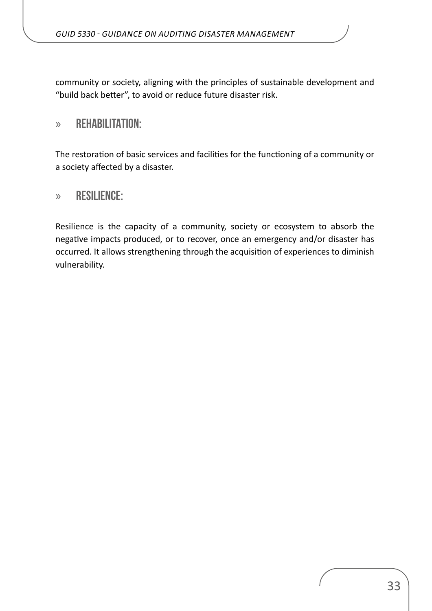community or society, aligning with the principles of sustainable development and "build back better", to avoid or reduce future disaster risk.

### » **REHABILITATION:**

The restoration of basic services and facilities for the functioning of a community or a society affected by a disaster.

### » **RESILIENCE:**

Resilience is the capacity of a community, society or ecosystem to absorb the negative impacts produced, or to recover, once an emergency and/or disaster has occurred. It allows strengthening through the acquisition of experiences to diminish vulnerability.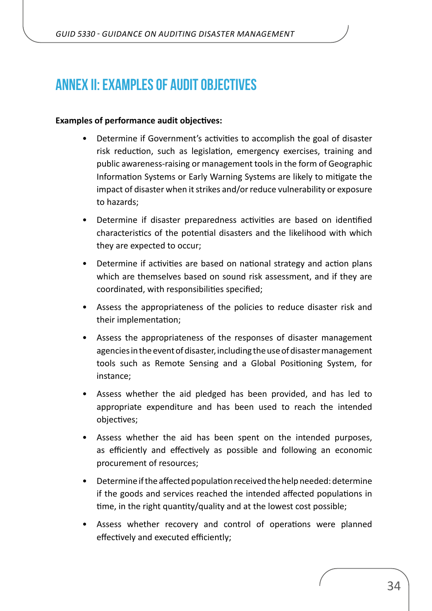## <span id="page-33-0"></span>**Annex II: Examples of audit objectives**

#### **Examples of performance audit objectives:**

- Determine if Government's activities to accomplish the goal of disaster risk reduction, such as legislation, emergency exercises, training and public awareness-raising or management tools in the form of Geographic Information Systems or Early Warning Systems are likely to mitigate the impact of disaster when it strikes and/or reduce vulnerability or exposure to hazards;
- Determine if disaster preparedness activities are based on identified characteristics of the potential disasters and the likelihood with which they are expected to occur;
- Determine if activities are based on national strategy and action plans which are themselves based on sound risk assessment, and if they are coordinated, with responsibilities specified;
- Assess the appropriateness of the policies to reduce disaster risk and their implementation;
- Assess the appropriateness of the responses of disaster management agencies in the event of disaster, including the use of disaster management tools such as Remote Sensing and a Global Positioning System, for instance;
- Assess whether the aid pledged has been provided, and has led to appropriate expenditure and has been used to reach the intended objectives;
- Assess whether the aid has been spent on the intended purposes, as efficiently and effectively as possible and following an economic procurement of resources;
- Determine if the affected population received the help needed: determine if the goods and services reached the intended affected populations in time, in the right quantity/quality and at the lowest cost possible;
- Assess whether recovery and control of operations were planned effectively and executed efficiently;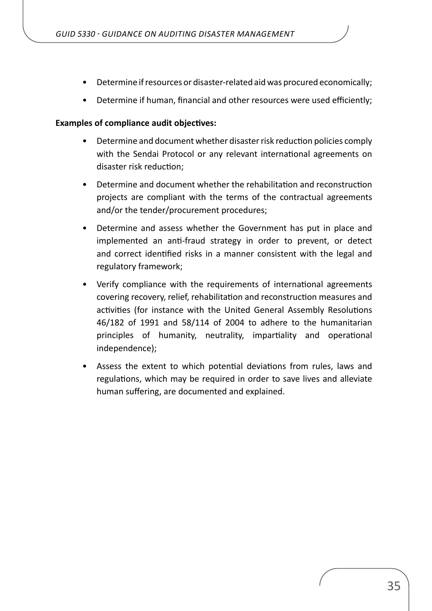- Determine if resources or disaster-related aid was procured economically;
- Determine if human, financial and other resources were used efficiently;

#### **Examples of compliance audit objectives:**

- Determine and document whether disaster risk reduction policies comply with the Sendai Protocol or any relevant international agreements on disaster risk reduction;
- Determine and document whether the rehabilitation and reconstruction projects are compliant with the terms of the contractual agreements and/or the tender/procurement procedures;
- Determine and assess whether the Government has put in place and implemented an anti-fraud strategy in order to prevent, or detect and correct identified risks in a manner consistent with the legal and regulatory framework;
- Verify compliance with the requirements of international agreements covering recovery, relief, rehabilitation and reconstruction measures and activities (for instance with the United General Assembly Resolutions 46/182 of 1991 and 58/114 of 2004 to adhere to the humanitarian principles of humanity, neutrality, impartiality and operational independence);
- Assess the extent to which potential deviations from rules, laws and regulations, which may be required in order to save lives and alleviate human suffering, are documented and explained.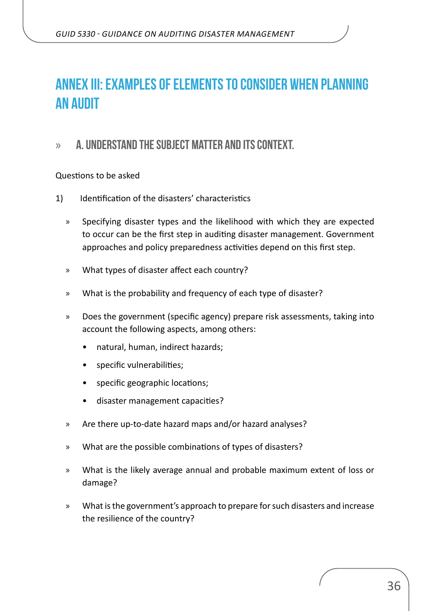# <span id="page-35-0"></span>**Annex III: Examples of elements to consider when planning an audit**

## » **A. Understand the subject matter and its context.**

#### Questions to be asked

- 1) Identification of the disasters' characteristics
	- » Specifying disaster types and the likelihood with which they are expected to occur can be the first step in auditing disaster management. Government approaches and policy preparedness activities depend on this first step.
	- » What types of disaster affect each country?
	- » What is the probability and frequency of each type of disaster?
	- » Does the government (specific agency) prepare risk assessments, taking into account the following aspects, among others:
		- natural, human, indirect hazards;
		- specific vulnerabilities;
		- specific geographic locations;
		- disaster management capacities?
	- » Are there up-to-date hazard maps and/or hazard analyses?
	- » What are the possible combinations of types of disasters?
	- » What is the likely average annual and probable maximum extent of loss or damage?
	- » What is the government's approach to prepare for such disasters and increase the resilience of the country?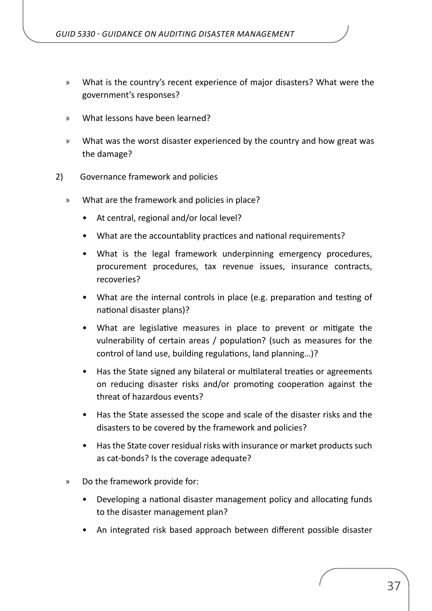- » What is the country's recent experience of major disasters? What were the government's responses?
- » What lessons have been learned?
- » What was the worst disaster experienced by the country and how great was the damage?
- 2) Governance framework and policies
	- » What are the framework and policies in place?
		- At central, regional and/or local level?
		- What are the accountablity practices and national requirements?
		- What is the legal framework underpinning emergency procedures, procurement procedures, tax revenue issues, insurance contracts, recoveries?
		- What are the internal controls in place (e.g. preparation and testing of national disaster plans)?
		- What are legislative measures in place to prevent or mitigate the vulnerability of certain areas / population? (such as measures for the control of land use, building regulations, land planning…)?
		- Has the State signed any bilateral or multilateral treaties or agreements on reducing disaster risks and/or promoting cooperation against the threat of hazardous events?
		- Has the State assessed the scope and scale of the disaster risks and the disasters to be covered by the framework and policies?
		- Has the State cover residual risks with insurance or market products such as cat-bonds? Is the coverage adequate?
	- » Do the framework provide for:
		- Developing a national disaster management policy and allocating funds to the disaster management plan?
		- An integrated risk based approach between different possible disaster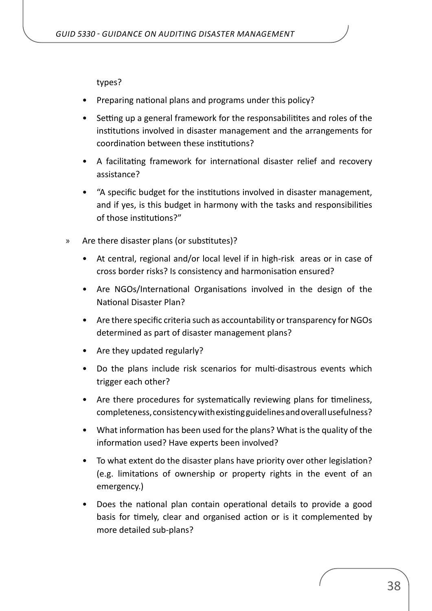types?

- Preparing national plans and programs under this policy?
- Setting up a general framework for the responsabilitites and roles of the institutions involved in disaster management and the arrangements for coordination between these institutions?
- A facilitating framework for international disaster relief and recovery assistance?
- "A specific budget for the institutions involved in disaster management, and if yes, is this budget in harmony with the tasks and responsibilities of those institutions?"
- » Are there disaster plans (or substitutes)?
	- At central, regional and/or local level if in high-risk areas or in case of cross border risks? Is consistency and harmonisation ensured?
	- Are NGOs/International Organisations involved in the design of the National Disaster Plan?
	- Are there specific criteria such as accountability or transparency for NGOs determined as part of disaster management plans?
	- Are they updated regularly?
	- Do the plans include risk scenarios for multi-disastrous events which trigger each other?
	- Are there procedures for systematically reviewing plans for timeliness, completeness, consistency with existing guidelines and overall usefulness?
	- What information has been used for the plans? What is the quality of the information used? Have experts been involved?
	- To what extent do the disaster plans have priority over other legislation? (e.g. limitations of ownership or property rights in the event of an emergency.)
	- Does the national plan contain operational details to provide a good basis for timely, clear and organised action or is it complemented by more detailed sub-plans?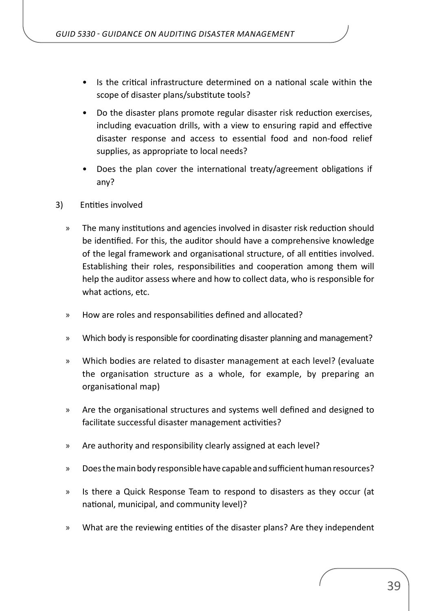- Is the critical infrastructure determined on a national scale within the scope of disaster plans/substitute tools?
- Do the disaster plans promote regular disaster risk reduction exercises, including evacuation drills, with a view to ensuring rapid and effective disaster response and access to essential food and non-food relief supplies, as appropriate to local needs?
- Does the plan cover the international treaty/agreement obligations if any?
- 3) Entities involved
	- » The many institutions and agencies involved in disaster risk reduction should be identified. For this, the auditor should have a comprehensive knowledge of the legal framework and organisational structure, of all entities involved. Establishing their roles, responsibilities and cooperation among them will help the auditor assess where and how to collect data, who is responsible for what actions, etc.
	- » How are roles and responsabilities defined and allocated?
	- » Which body is responsible for coordinating disaster planning and management?
	- » Which bodies are related to disaster management at each level? (evaluate the organisation structure as a whole, for example, by preparing an organisational map)
	- » Are the organisational structures and systems well defined and designed to facilitate successful disaster management activities?
	- » Are authority and responsibility clearly assigned at each level?
	- » Does the main body responsible have capable and sufficient human resources?
	- » Is there a Quick Response Team to respond to disasters as they occur (at national, municipal, and community level)?
	- » What are the reviewing entities of the disaster plans? Are they independent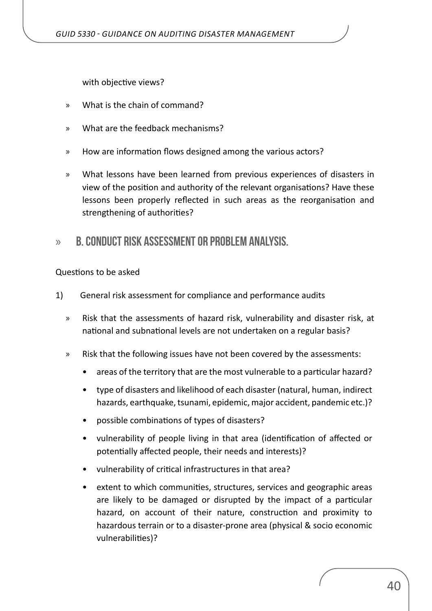with objective views?

- » What is the chain of command?
- » What are the feedback mechanisms?
- » How are information flows designed among the various actors?
- » What lessons have been learned from previous experiences of disasters in view of the position and authority of the relevant organisations? Have these lessons been properly reflected in such areas as the reorganisation and strengthening of authorities?
- » **B. Conduct risk assessment or problem analysis.**

Questions to be asked

- 1) General risk assessment for compliance and performance audits
	- » Risk that the assessments of hazard risk, vulnerability and disaster risk, at national and subnational levels are not undertaken on a regular basis?
	- » Risk that the following issues have not been covered by the assessments:
		- areas of the territory that are the most vulnerable to a particular hazard?
		- type of disasters and likelihood of each disaster (natural, human, indirect hazards, earthquake, tsunami, epidemic, major accident, pandemic etc.)?
		- possible combinations of types of disasters?
		- vulnerability of people living in that area (identification of affected or potentially affected people, their needs and interests)?
		- vulnerability of critical infrastructures in that area?
		- extent to which communities, structures, services and geographic areas are likely to be damaged or disrupted by the impact of a particular hazard, on account of their nature, construction and proximity to hazardous terrain or to a disaster-prone area (physical & socio economic vulnerabilities)?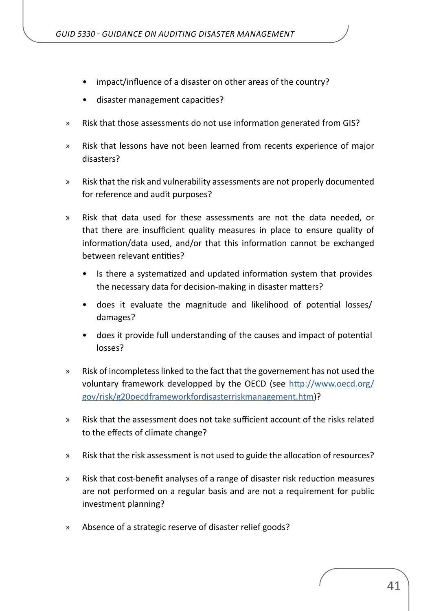- impact/influence of a disaster on other areas of the country?
- disaster management capacities?
- » Risk that those assessments do not use information generated from GIS?
- » Risk that lessons have not been learned from recents experience of major disasters?
- » Risk that the risk and vulnerability assessments are not properly documented for reference and audit purposes?
- » Risk that data used for these assessments are not the data needed, or that there are insufficient quality measures in place to ensure quality of information/data used, and/or that this information cannot be exchanged between relevant entities?
	- Is there a systematized and updated information system that provides the necessary data for decision-making in disaster matters?
	- does it evaluate the magnitude and likelihood of potential losses/ damages?
	- does it provide full understanding of the causes and impact of potential losses?
- » Risk of incompletess linked to the fact that the governement has not used the voluntary framework developped by the OECD (see [http://www.oecd.org/](http://www.oecd.org/gov/risk/g20oecdframeworkfordisasterriskmanagement.htm) [gov/risk/g20oecdframeworkfordisasterriskmanagement.htm\)](http://www.oecd.org/gov/risk/g20oecdframeworkfordisasterriskmanagement.htm)?
- » Risk that the assessment does not take sufficient account of the risks related to the effects of climate change?
- » Risk that the risk assessment is not used to guide the allocation of resources?
- » Risk that cost-benefit analyses of a range of disaster risk reduction measures are not performed on a regular basis and are not a requirement for public investment planning?
- » Absence of a strategic reserve of disaster relief goods?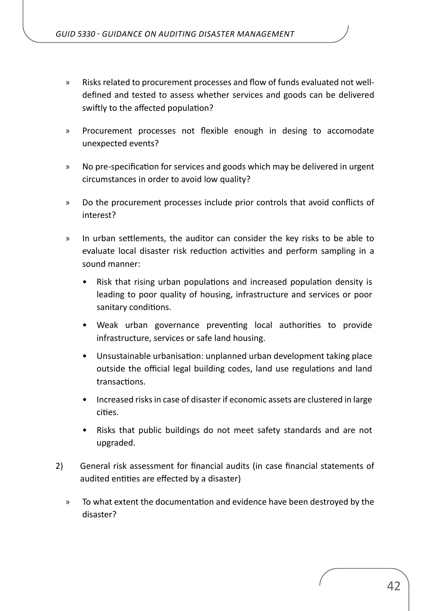- » Risks related to procurement processes and flow of funds evaluated not welldefined and tested to assess whether services and goods can be delivered swiftly to the affected population?
- » Procurement processes not flexible enough in desing to accomodate unexpected events?
- » No pre-specification for services and goods which may be delivered in urgent circumstances in order to avoid low quality?
- » Do the procurement processes include prior controls that avoid conflicts of interest?
- » In urban settlements, the auditor can consider the key risks to be able to evaluate local disaster risk reduction activities and perform sampling in a sound manner:
	- Risk that rising urban populations and increased population density is leading to poor quality of housing, infrastructure and services or poor sanitary conditions.
	- Weak urban governance preventing local authorities to provide infrastructure, services or safe land housing.
	- Unsustainable urbanisation: unplanned urban development taking place outside the official legal building codes, land use regulations and land transactions.
	- Increased risks in case of disaster if economic assets are clustered in large cities.
	- Risks that public buildings do not meet safety standards and are not upgraded.
- 2) General risk assessment for financial audits (in case financial statements of audited entities are effected by a disaster)
	- » To what extent the documentation and evidence have been destroyed by the disaster?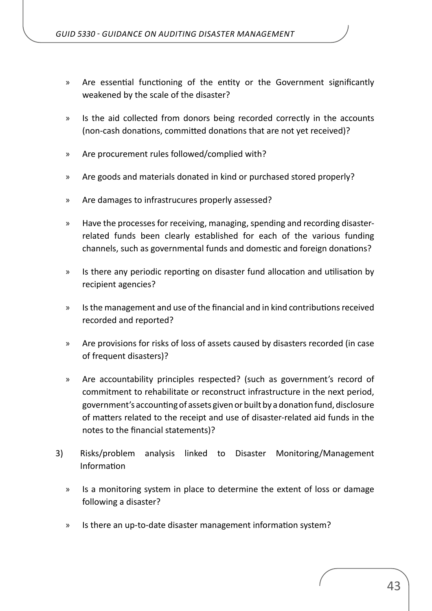- » Are essential functioning of the entity or the Government significantly weakened by the scale of the disaster?
- » Is the aid collected from donors being recorded correctly in the accounts (non-cash donations, committed donations that are not yet received)?
- » Are procurement rules followed/complied with?
- » Are goods and materials donated in kind or purchased stored properly?
- » Are damages to infrastrucures properly assessed?
- » Have the processes for receiving, managing, spending and recording disasterrelated funds been clearly established for each of the various funding channels, such as governmental funds and domestic and foreign donations?
- » Is there any periodic reporting on disaster fund allocation and utilisation by recipient agencies?
- » Is the management and use of the financial and in kind contributions received recorded and reported?
- » Are provisions for risks of loss of assets caused by disasters recorded (in case of frequent disasters)?
- » Are accountability principles respected? (such as government's record of commitment to rehabilitate or reconstruct infrastructure in the next period, government's accounting of assets given or built by a donation fund, disclosure of matters related to the receipt and use of disaster-related aid funds in the notes to the financial statements)?
- 3) Risks/problem analysis linked to Disaster Monitoring/Management Information
	- » Is a monitoring system in place to determine the extent of loss or damage following a disaster?
	- » Is there an up-to-date disaster management information system?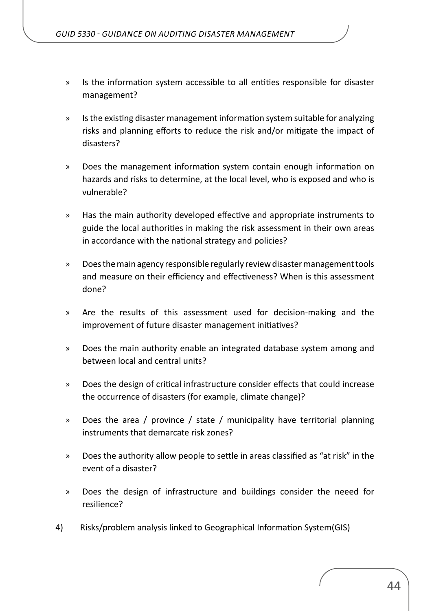- » Is the information system accessible to all entities responsible for disaster management?
- » Is the existing disaster management information system suitable for analyzing risks and planning efforts to reduce the risk and/or mitigate the impact of disasters?
- » Does the management information system contain enough information on hazards and risks to determine, at the local level, who is exposed and who is vulnerable?
- » Has the main authority developed effective and appropriate instruments to guide the local authorities in making the risk assessment in their own areas in accordance with the national strategy and policies?
- » Does the main agency responsible regularly review disaster management tools and measure on their efficiency and effectiveness? When is this assessment done?
- » Are the results of this assessment used for decision-making and the improvement of future disaster management initiatives?
- » Does the main authority enable an integrated database system among and between local and central units?
- » Does the design of critical infrastructure consider effects that could increase the occurrence of disasters (for example, climate change)?
- » Does the area / province / state / municipality have territorial planning instruments that demarcate risk zones?
- » Does the authority allow people to settle in areas classified as "at risk" in the event of a disaster?
- » Does the design of infrastructure and buildings consider the neeed for resilience?
- 4) Risks/problem analysis linked to Geographical Information System(GIS)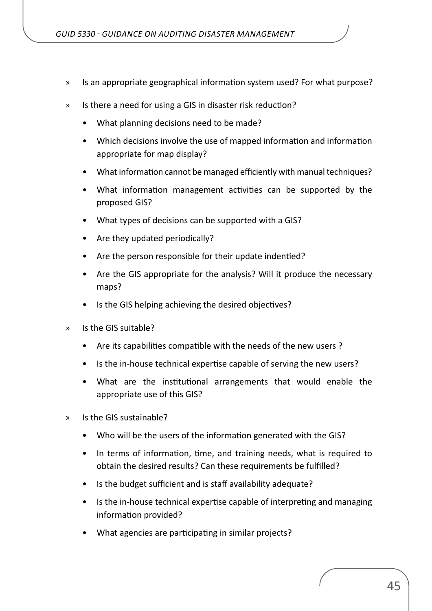- » Is an appropriate geographical information system used? For what purpose?
- » Is there a need for using a GIS in disaster risk reduction?
	- What planning decisions need to be made?
	- Which decisions involve the use of mapped information and information appropriate for map display?
	- What information cannot be managed efficiently with manual techniques?
	- What information management activities can be supported by the proposed GIS?
	- What types of decisions can be supported with a GIS?
	- Are they updated periodically?
	- Are the person responsible for their update indentied?
	- Are the GIS appropriate for the analysis? Will it produce the necessary maps?
	- Is the GIS helping achieving the desired objectives?
- » Is the GIS suitable?
	- Are its capabilities compatible with the needs of the new users ?
	- Is the in-house technical expertise capable of serving the new users?
	- What are the institutional arrangements that would enable the appropriate use of this GIS?
- » Is the GIS sustainable?
	- Who will be the users of the information generated with the GIS?
	- In terms of information, time, and training needs, what is required to obtain the desired results? Can these requirements be fulfilled?
	- Is the budget sufficient and is staff availability adequate?
	- Is the in-house technical expertise capable of interpreting and managing information provided?
	- What agencies are participating in similar projects?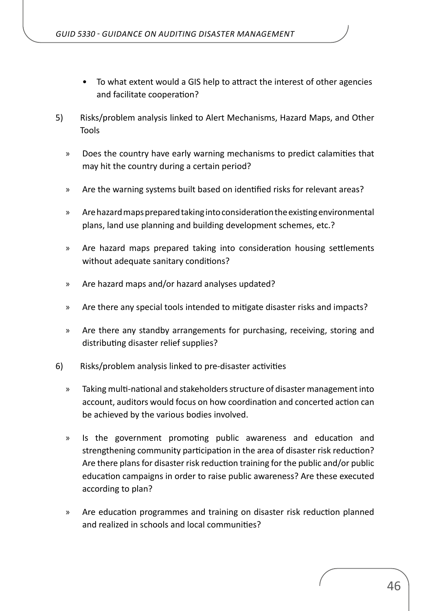- To what extent would a GIS help to attract the interest of other agencies and facilitate cooperation?
- 5) Risks/problem analysis linked to Alert Mechanisms, Hazard Maps, and Other Tools
	- » Does the country have early warning mechanisms to predict calamities that may hit the country during a certain period?
	- » Are the warning systems built based on identified risks for relevant areas?
	- » Are hazard maps prepared taking into consideration the existing environmental plans, land use planning and building development schemes, etc.?
	- » Are hazard maps prepared taking into consideration housing settlements without adequate sanitary conditions?
	- » Are hazard maps and/or hazard analyses updated?
	- » Are there any special tools intended to mitigate disaster risks and impacts?
	- » Are there any standby arrangements for purchasing, receiving, storing and distributing disaster relief supplies?
- 6) Risks/problem analysis linked to pre-disaster activities
	- » Taking multi-national and stakeholders structure of disaster management into account, auditors would focus on how coordination and concerted action can be achieved by the various bodies involved.
	- » Is the government promoting public awareness and education and strengthening community participation in the area of disaster risk reduction? Are there plans for disaster risk reduction training for the public and/or public education campaigns in order to raise public awareness? Are these executed according to plan?
	- » Are education programmes and training on disaster risk reduction planned and realized in schools and local communities?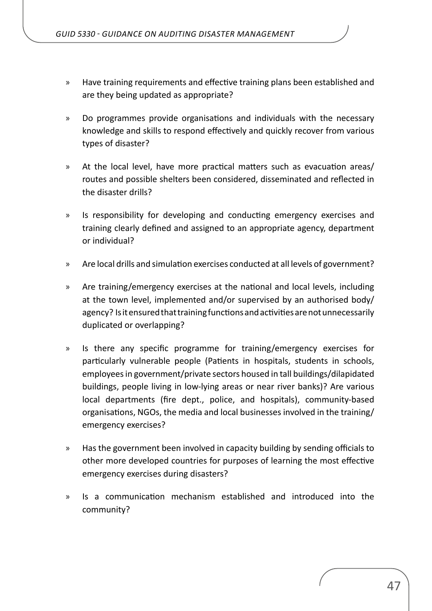- » Have training requirements and effective training plans been established and are they being updated as appropriate?
- » Do programmes provide organisations and individuals with the necessary knowledge and skills to respond effectively and quickly recover from various types of disaster?
- » At the local level, have more practical matters such as evacuation areas/ routes and possible shelters been considered, disseminated and reflected in the disaster drills?
- » Is responsibility for developing and conducting emergency exercises and training clearly defined and assigned to an appropriate agency, department or individual?
- » Are local drills and simulation exercises conducted at all levels of government?
- » Are training/emergency exercises at the national and local levels, including at the town level, implemented and/or supervised by an authorised body/ agency? Is it ensured that training functions and activities are not unnecessarily duplicated or overlapping?
- » Is there any specific programme for training/emergency exercises for particularly vulnerable people (Patients in hospitals, students in schools, employees in government/private sectors housed in tall buildings/dilapidated buildings, people living in low-lying areas or near river banks)? Are various local departments (fire dept., police, and hospitals), community-based organisations, NGOs, the media and local businesses involved in the training/ emergency exercises?
- » Has the government been involved in capacity building by sending officials to other more developed countries for purposes of learning the most effective emergency exercises during disasters?
- » Is a communication mechanism established and introduced into the community?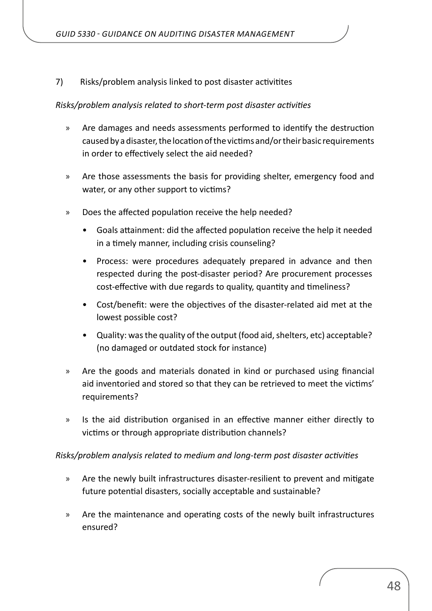#### 7) Risks/problem analysis linked to post disaster activitites

#### *Risks/problem analysis related to short-term post disaster activities*

- » Are damages and needs assessments performed to identify the destruction caused by a disaster, the location of the victims and/or their basic requirements in order to effectively select the aid needed?
- » Are those assessments the basis for providing shelter, emergency food and water, or any other support to victims?
- » Does the affected population receive the help needed?
	- Goals attainment: did the affected population receive the help it needed in a timely manner, including crisis counseling?
	- Process: were procedures adequately prepared in advance and then respected during the post-disaster period? Are procurement processes cost-effective with due regards to quality, quantity and timeliness?
	- Cost/benefit: were the objectives of the disaster-related aid met at the lowest possible cost?
	- Quality: was the quality of the output (food aid, shelters, etc) acceptable? (no damaged or outdated stock for instance)
- » Are the goods and materials donated in kind or purchased using financial aid inventoried and stored so that they can be retrieved to meet the victims' requirements?
- » Is the aid distribution organised in an effective manner either directly to victims or through appropriate distribution channels?

#### *Risks/problem analysis related to medium and long-term post disaster activities*

- » Are the newly built infrastructures disaster-resilient to prevent and mitigate future potential disasters, socially acceptable and sustainable?
- » Are the maintenance and operating costs of the newly built infrastructures ensured?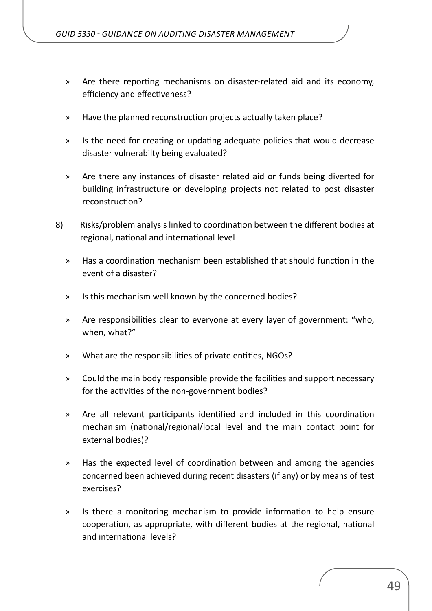- » Are there reporting mechanisms on disaster-related aid and its economy, efficiency and effectiveness?
- » Have the planned reconstruction projects actually taken place?
- » Is the need for creating or updating adequate policies that would decrease disaster vulnerabilty being evaluated?
- » Are there any instances of disaster related aid or funds being diverted for building infrastructure or developing projects not related to post disaster reconstruction?
- 8) Risks/problem analysis linked to coordination between the different bodies at regional, national and international level
	- » Has a coordination mechanism been established that should function in the event of a disaster?
	- » Is this mechanism well known by the concerned bodies?
	- » Are responsibilities clear to everyone at every layer of government: "who, when, what?"
	- » What are the responsibilities of private entities, NGOs?
	- » Could the main body responsible provide the facilities and support necessary for the activities of the non-government bodies?
	- » Are all relevant participants identified and included in this coordination mechanism (national/regional/local level and the main contact point for external bodies)?
	- » Has the expected level of coordination between and among the agencies concerned been achieved during recent disasters (if any) or by means of test exercises?
	- » Is there a monitoring mechanism to provide information to help ensure cooperation, as appropriate, with different bodies at the regional, national and international levels?